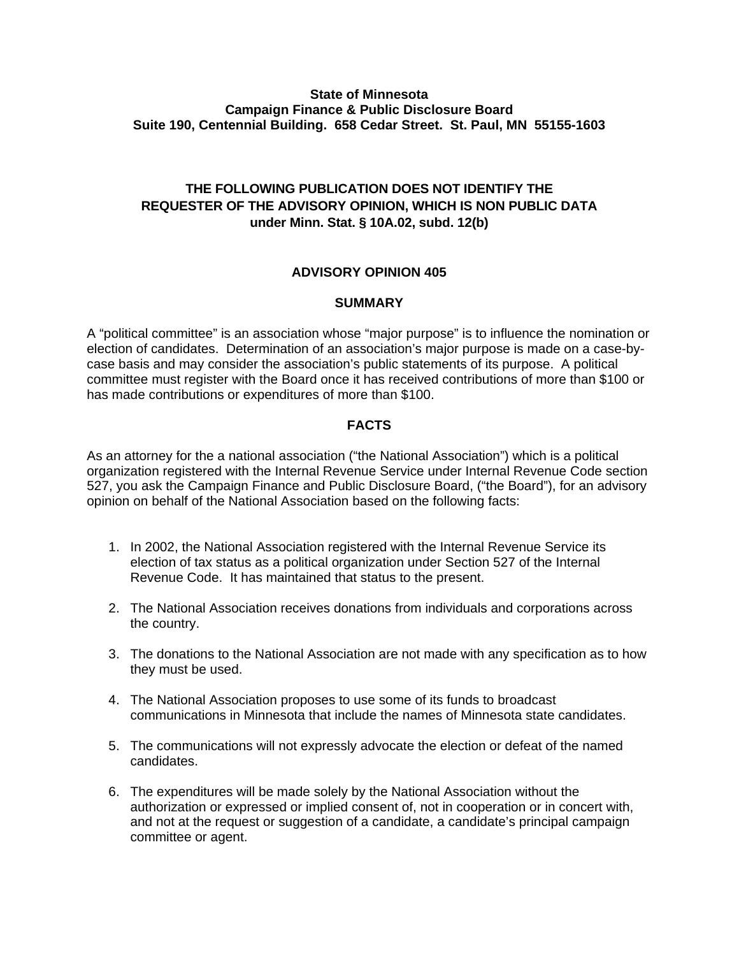#### **State of Minnesota Campaign Finance & Public Disclosure Board Suite 190, Centennial Building. 658 Cedar Street. St. Paul, MN 55155-1603**

# **THE FOLLOWING PUBLICATION DOES NOT IDENTIFY THE REQUESTER OF THE ADVISORY OPINION, WHICH IS NON PUBLIC DATA under Minn. Stat. § 10A.02, subd. 12(b)**

# **ADVISORY OPINION 405**

#### **SUMMARY**

A "political committee" is an association whose "major purpose" is to influence the nomination or election of candidates. Determination of an association's major purpose is made on a case-bycase basis and may consider the association's public statements of its purpose. A political committee must register with the Board once it has received contributions of more than \$100 or has made contributions or expenditures of more than \$100.

### **FACTS**

As an attorney for the a national association ("the National Association") which is a political organization registered with the Internal Revenue Service under Internal Revenue Code section 527, you ask the Campaign Finance and Public Disclosure Board, ("the Board"), for an advisory opinion on behalf of the National Association based on the following facts:

- 1. In 2002, the National Association registered with the Internal Revenue Service its election of tax status as a political organization under Section 527 of the Internal Revenue Code. It has maintained that status to the present.
- 2. The National Association receives donations from individuals and corporations across the country.
- 3. The donations to the National Association are not made with any specification as to how they must be used.
- 4. The National Association proposes to use some of its funds to broadcast communications in Minnesota that include the names of Minnesota state candidates.
- 5. The communications will not expressly advocate the election or defeat of the named candidates.
- 6. The expenditures will be made solely by the National Association without the authorization or expressed or implied consent of, not in cooperation or in concert with, and not at the request or suggestion of a candidate, a candidate's principal campaign committee or agent.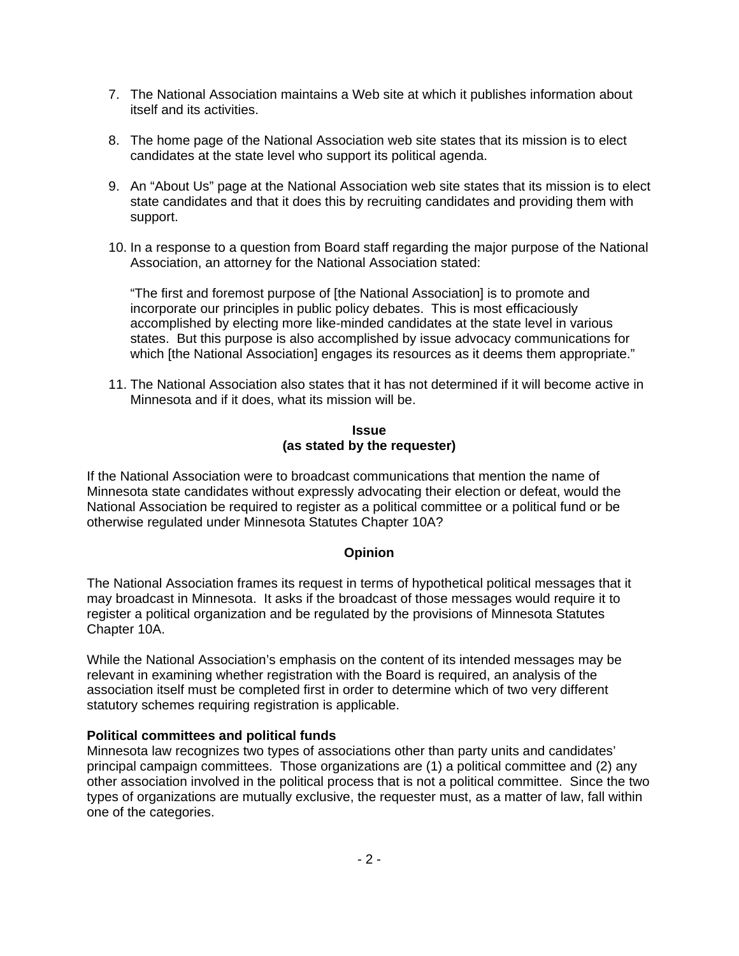- 7. The National Association maintains a Web site at which it publishes information about itself and its activities.
- 8. The home page of the National Association web site states that its mission is to elect candidates at the state level who support its political agenda.
- 9. An "About Us" page at the National Association web site states that its mission is to elect state candidates and that it does this by recruiting candidates and providing them with support.
- 10. In a response to a question from Board staff regarding the major purpose of the National Association, an attorney for the National Association stated:

"The first and foremost purpose of [the National Association] is to promote and incorporate our principles in public policy debates. This is most efficaciously accomplished by electing more like-minded candidates at the state level in various states. But this purpose is also accomplished by issue advocacy communications for which [the National Association] engages its resources as it deems them appropriate."

11. The National Association also states that it has not determined if it will become active in Minnesota and if it does, what its mission will be.

#### **Issue (as stated by the requester)**

If the National Association were to broadcast communications that mention the name of Minnesota state candidates without expressly advocating their election or defeat, would the National Association be required to register as a political committee or a political fund or be otherwise regulated under Minnesota Statutes Chapter 10A?

# **Opinion**

The National Association frames its request in terms of hypothetical political messages that it may broadcast in Minnesota. It asks if the broadcast of those messages would require it to register a political organization and be regulated by the provisions of Minnesota Statutes Chapter 10A.

While the National Association's emphasis on the content of its intended messages may be relevant in examining whether registration with the Board is required, an analysis of the association itself must be completed first in order to determine which of two very different statutory schemes requiring registration is applicable.

# **Political committees and political funds**

Minnesota law recognizes two types of associations other than party units and candidates' principal campaign committees. Those organizations are (1) a political committee and (2) any other association involved in the political process that is not a political committee. Since the two types of organizations are mutually exclusive, the requester must, as a matter of law, fall within one of the categories.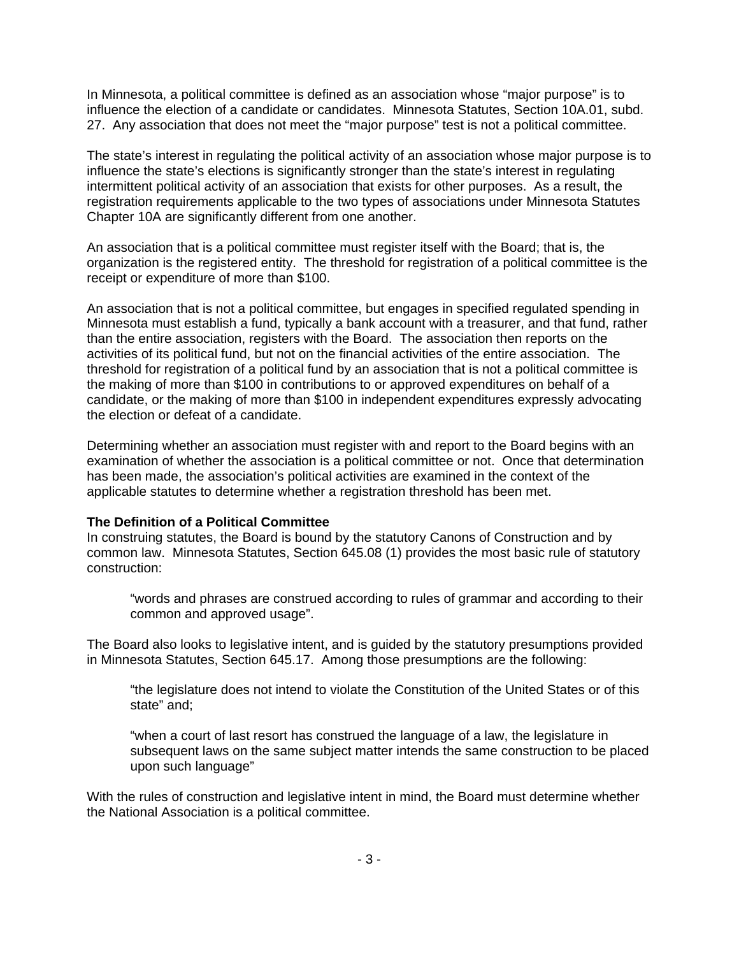In Minnesota, a political committee is defined as an association whose "major purpose" is to influence the election of a candidate or candidates. Minnesota Statutes, Section 10A.01, subd. 27. Any association that does not meet the "major purpose" test is not a political committee.

The state's interest in regulating the political activity of an association whose major purpose is to influence the state's elections is significantly stronger than the state's interest in regulating intermittent political activity of an association that exists for other purposes. As a result, the registration requirements applicable to the two types of associations under Minnesota Statutes Chapter 10A are significantly different from one another.

An association that is a political committee must register itself with the Board; that is, the organization is the registered entity. The threshold for registration of a political committee is the receipt or expenditure of more than \$100.

An association that is not a political committee, but engages in specified regulated spending in Minnesota must establish a fund, typically a bank account with a treasurer, and that fund, rather than the entire association, registers with the Board. The association then reports on the activities of its political fund, but not on the financial activities of the entire association. The threshold for registration of a political fund by an association that is not a political committee is the making of more than \$100 in contributions to or approved expenditures on behalf of a candidate, or the making of more than \$100 in independent expenditures expressly advocating the election or defeat of a candidate.

Determining whether an association must register with and report to the Board begins with an examination of whether the association is a political committee or not. Once that determination has been made, the association's political activities are examined in the context of the applicable statutes to determine whether a registration threshold has been met.

# **The Definition of a Political Committee**

In construing statutes, the Board is bound by the statutory Canons of Construction and by common law. Minnesota Statutes, Section 645.08 (1) provides the most basic rule of statutory construction:

"words and phrases are construed according to rules of grammar and according to their common and approved usage".

The Board also looks to legislative intent, and is guided by the statutory presumptions provided in Minnesota Statutes, Section 645.17. Among those presumptions are the following:

"the legislature does not intend to violate the Constitution of the United States or of this state" and;

"when a court of last resort has construed the language of a law, the legislature in subsequent laws on the same subject matter intends the same construction to be placed upon such language"

With the rules of construction and legislative intent in mind, the Board must determine whether the National Association is a political committee.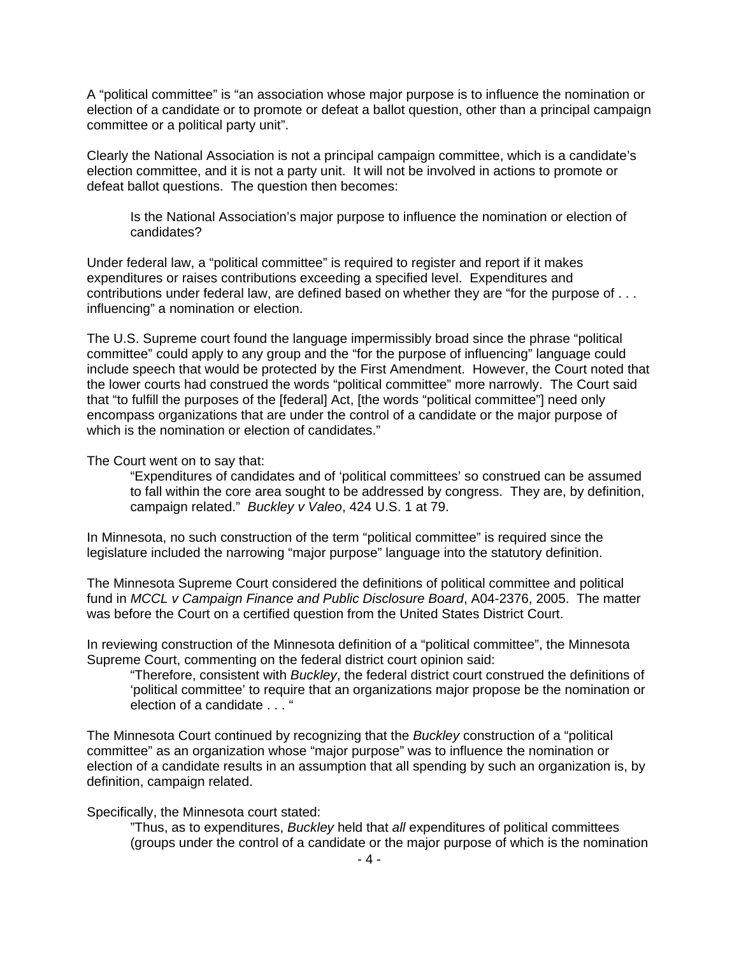A "political committee" is "an association whose major purpose is to influence the nomination or election of a candidate or to promote or defeat a ballot question, other than a principal campaign committee or a political party unit".

Clearly the National Association is not a principal campaign committee, which is a candidate's election committee, and it is not a party unit. It will not be involved in actions to promote or defeat ballot questions. The question then becomes:

Is the National Association's major purpose to influence the nomination or election of candidates?

Under federal law, a "political committee" is required to register and report if it makes expenditures or raises contributions exceeding a specified level. Expenditures and contributions under federal law, are defined based on whether they are "for the purpose of . . . influencing" a nomination or election.

The U.S. Supreme court found the language impermissibly broad since the phrase "political committee" could apply to any group and the "for the purpose of influencing" language could include speech that would be protected by the First Amendment. However, the Court noted that the lower courts had construed the words "political committee" more narrowly. The Court said that "to fulfill the purposes of the [federal] Act, [the words "political committee"] need only encompass organizations that are under the control of a candidate or the major purpose of which is the nomination or election of candidates."

The Court went on to say that:

"Expenditures of candidates and of 'political committees' so construed can be assumed to fall within the core area sought to be addressed by congress. They are, by definition, campaign related." *Buckley v Valeo*, 424 U.S. 1 at 79.

In Minnesota, no such construction of the term "political committee" is required since the legislature included the narrowing "major purpose" language into the statutory definition.

The Minnesota Supreme Court considered the definitions of political committee and political fund in *MCCL v Campaign Finance and Public Disclosure Board*, A04-2376, 2005. The matter was before the Court on a certified question from the United States District Court.

In reviewing construction of the Minnesota definition of a "political committee", the Minnesota Supreme Court, commenting on the federal district court opinion said:

"Therefore, consistent with *Buckley*, the federal district court construed the definitions of 'political committee' to require that an organizations major propose be the nomination or election of a candidate . . . "

The Minnesota Court continued by recognizing that the *Buckley* construction of a "political committee" as an organization whose "major purpose" was to influence the nomination or election of a candidate results in an assumption that all spending by such an organization is, by definition, campaign related.

Specifically, the Minnesota court stated:

"Thus, as to expenditures, *Buckley* held that *all* expenditures of political committees (groups under the control of a candidate or the major purpose of which is the nomination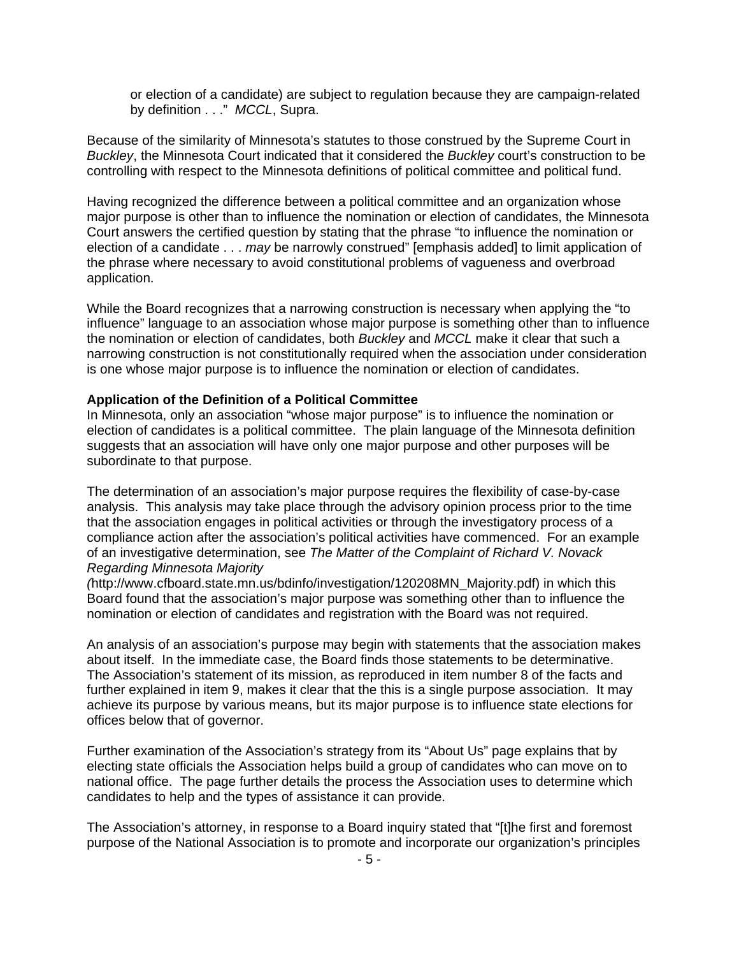or election of a candidate) are subject to regulation because they are campaign-related by definition . . ." *MCCL*, Supra.

Because of the similarity of Minnesota's statutes to those construed by the Supreme Court in *Buckley*, the Minnesota Court indicated that it considered the *Buckley* court's construction to be controlling with respect to the Minnesota definitions of political committee and political fund.

Having recognized the difference between a political committee and an organization whose major purpose is other than to influence the nomination or election of candidates, the Minnesota Court answers the certified question by stating that the phrase "to influence the nomination or election of a candidate . . . *may* be narrowly construed" [emphasis added] to limit application of the phrase where necessary to avoid constitutional problems of vagueness and overbroad application.

While the Board recognizes that a narrowing construction is necessary when applying the "to influence" language to an association whose major purpose is something other than to influence the nomination or election of candidates, both *Buckley* and *MCCL* make it clear that such a narrowing construction is not constitutionally required when the association under consideration is one whose major purpose is to influence the nomination or election of candidates.

#### **Application of the Definition of a Political Committee**

In Minnesota, only an association "whose major purpose" is to influence the nomination or election of candidates is a political committee. The plain language of the Minnesota definition suggests that an association will have only one major purpose and other purposes will be subordinate to that purpose.

The determination of an association's major purpose requires the flexibility of case-by-case analysis. This analysis may take place through the advisory opinion process prior to the time that the association engages in political activities or through the investigatory process of a compliance action after the association's political activities have commenced. For an example of an investigative determination, see *The Matter of the Complaint of Richard V. Novack Regarding Minnesota Majority* 

*(*http://www.cfboard.state.mn.us/bdinfo/investigation/120208MN\_Majority.pdf) in which this Board found that the association's major purpose was something other than to influence the nomination or election of candidates and registration with the Board was not required.

An analysis of an association's purpose may begin with statements that the association makes about itself. In the immediate case, the Board finds those statements to be determinative. The Association's statement of its mission, as reproduced in item number 8 of the facts and further explained in item 9, makes it clear that the this is a single purpose association. It may achieve its purpose by various means, but its major purpose is to influence state elections for offices below that of governor.

Further examination of the Association's strategy from its "About Us" page explains that by electing state officials the Association helps build a group of candidates who can move on to national office. The page further details the process the Association uses to determine which candidates to help and the types of assistance it can provide.

The Association's attorney, in response to a Board inquiry stated that "[t]he first and foremost purpose of the National Association is to promote and incorporate our organization's principles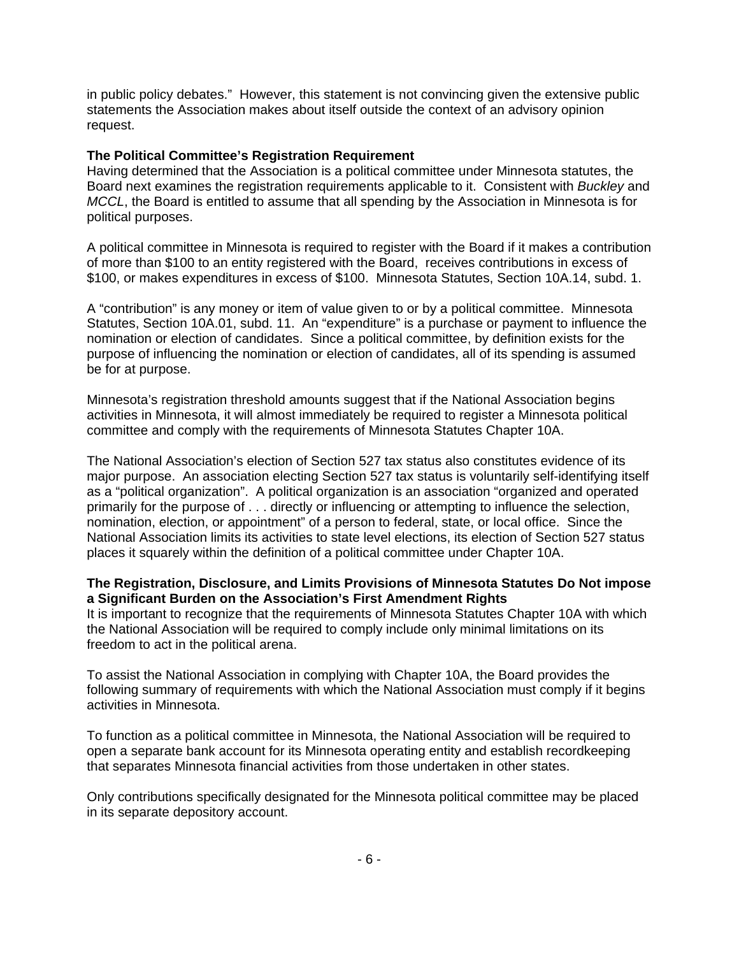in public policy debates." However, this statement is not convincing given the extensive public statements the Association makes about itself outside the context of an advisory opinion request.

#### **The Political Committee's Registration Requirement**

Having determined that the Association is a political committee under Minnesota statutes, the Board next examines the registration requirements applicable to it. Consistent with *Buckley* and *MCCL*, the Board is entitled to assume that all spending by the Association in Minnesota is for political purposes.

A political committee in Minnesota is required to register with the Board if it makes a contribution of more than \$100 to an entity registered with the Board, receives contributions in excess of \$100, or makes expenditures in excess of \$100. Minnesota Statutes, Section 10A.14, subd. 1.

A "contribution" is any money or item of value given to or by a political committee. Minnesota Statutes, Section 10A.01, subd. 11. An "expenditure" is a purchase or payment to influence the nomination or election of candidates. Since a political committee, by definition exists for the purpose of influencing the nomination or election of candidates, all of its spending is assumed be for at purpose.

Minnesota's registration threshold amounts suggest that if the National Association begins activities in Minnesota, it will almost immediately be required to register a Minnesota political committee and comply with the requirements of Minnesota Statutes Chapter 10A.

The National Association's election of Section 527 tax status also constitutes evidence of its major purpose. An association electing Section 527 tax status is voluntarily self-identifying itself as a "political organization". A political organization is an association "organized and operated primarily for the purpose of . . . directly or influencing or attempting to influence the selection, nomination, election, or appointment" of a person to federal, state, or local office. Since the National Association limits its activities to state level elections, its election of Section 527 status places it squarely within the definition of a political committee under Chapter 10A.

# **The Registration, Disclosure, and Limits Provisions of Minnesota Statutes Do Not impose a Significant Burden on the Association's First Amendment Rights**

It is important to recognize that the requirements of Minnesota Statutes Chapter 10A with which the National Association will be required to comply include only minimal limitations on its freedom to act in the political arena.

To assist the National Association in complying with Chapter 10A, the Board provides the following summary of requirements with which the National Association must comply if it begins activities in Minnesota.

To function as a political committee in Minnesota, the National Association will be required to open a separate bank account for its Minnesota operating entity and establish recordkeeping that separates Minnesota financial activities from those undertaken in other states.

Only contributions specifically designated for the Minnesota political committee may be placed in its separate depository account.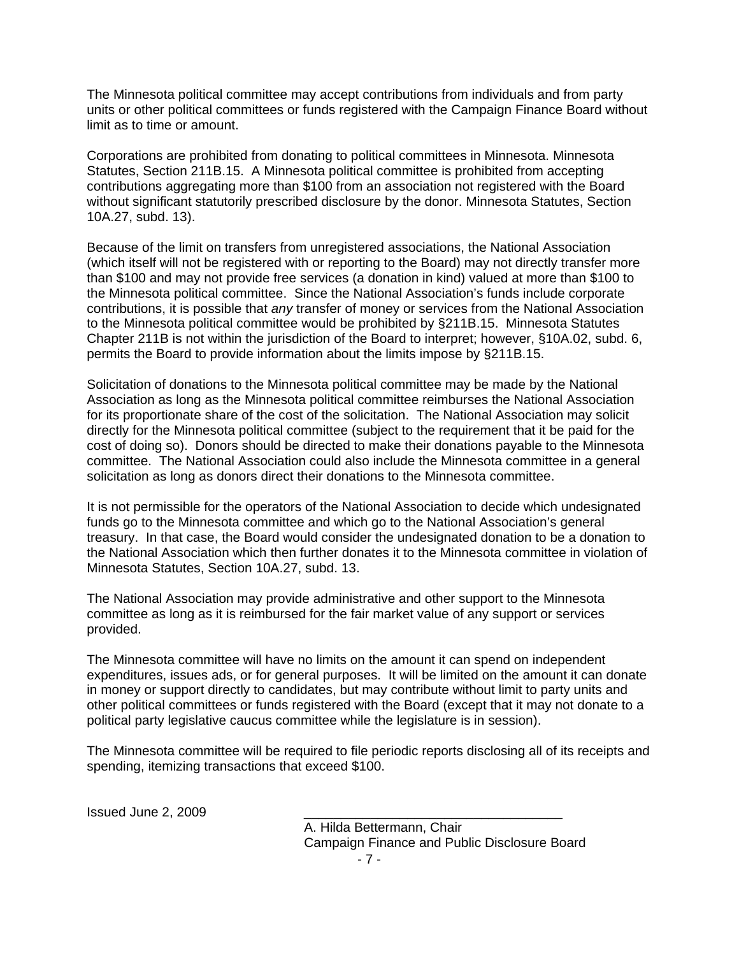The Minnesota political committee may accept contributions from individuals and from party units or other political committees or funds registered with the Campaign Finance Board without limit as to time or amount.

Corporations are prohibited from donating to political committees in Minnesota. Minnesota Statutes, Section 211B.15. A Minnesota political committee is prohibited from accepting contributions aggregating more than \$100 from an association not registered with the Board without significant statutorily prescribed disclosure by the donor. Minnesota Statutes, Section 10A.27, subd. 13).

Because of the limit on transfers from unregistered associations, the National Association (which itself will not be registered with or reporting to the Board) may not directly transfer more than \$100 and may not provide free services (a donation in kind) valued at more than \$100 to the Minnesota political committee. Since the National Association's funds include corporate contributions, it is possible that *any* transfer of money or services from the National Association to the Minnesota political committee would be prohibited by §211B.15. Minnesota Statutes Chapter 211B is not within the jurisdiction of the Board to interpret; however, §10A.02, subd. 6, permits the Board to provide information about the limits impose by §211B.15.

Solicitation of donations to the Minnesota political committee may be made by the National Association as long as the Minnesota political committee reimburses the National Association for its proportionate share of the cost of the solicitation. The National Association may solicit directly for the Minnesota political committee (subject to the requirement that it be paid for the cost of doing so). Donors should be directed to make their donations payable to the Minnesota committee. The National Association could also include the Minnesota committee in a general solicitation as long as donors direct their donations to the Minnesota committee.

It is not permissible for the operators of the National Association to decide which undesignated funds go to the Minnesota committee and which go to the National Association's general treasury. In that case, the Board would consider the undesignated donation to be a donation to the National Association which then further donates it to the Minnesota committee in violation of Minnesota Statutes, Section 10A.27, subd. 13.

The National Association may provide administrative and other support to the Minnesota committee as long as it is reimbursed for the fair market value of any support or services provided.

The Minnesota committee will have no limits on the amount it can spend on independent expenditures, issues ads, or for general purposes. It will be limited on the amount it can donate in money or support directly to candidates, but may contribute without limit to party units and other political committees or funds registered with the Board (except that it may not donate to a political party legislative caucus committee while the legislature is in session).

The Minnesota committee will be required to file periodic reports disclosing all of its receipts and spending, itemizing transactions that exceed \$100.

 $Is sued$  June 2, 2009

 A. Hilda Bettermann, Chair Campaign Finance and Public Disclosure Board